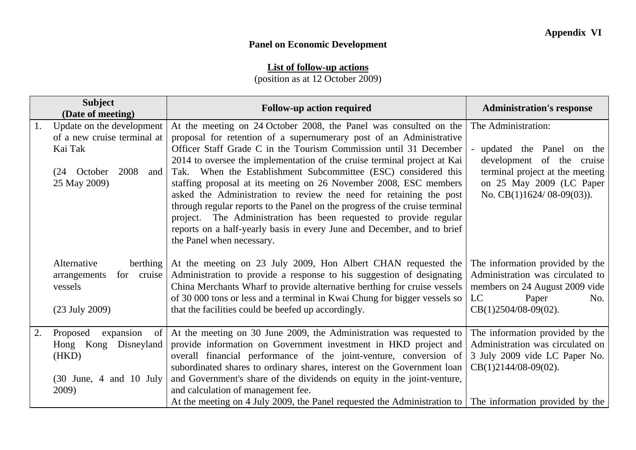## **Panel on Economic Development**

## **List of follow-up actions**

(position as at 12 October 2009)

| <b>Subject</b><br>(Date of meeting) |                                                                                                                   | <b>Follow-up action required</b>                                                                                                                                                                                                                                                                                                                                                                                                                                                                                                                                                                                                                                                                                                                                   | <b>Administration's response</b>                                                                                                                                              |
|-------------------------------------|-------------------------------------------------------------------------------------------------------------------|--------------------------------------------------------------------------------------------------------------------------------------------------------------------------------------------------------------------------------------------------------------------------------------------------------------------------------------------------------------------------------------------------------------------------------------------------------------------------------------------------------------------------------------------------------------------------------------------------------------------------------------------------------------------------------------------------------------------------------------------------------------------|-------------------------------------------------------------------------------------------------------------------------------------------------------------------------------|
| 1.                                  | Update on the development<br>of a new cruise terminal at<br>Kai Tak<br>(24 October<br>2008<br>and<br>25 May 2009) | At the meeting on 24 October 2008, the Panel was consulted on the<br>proposal for retention of a supernumerary post of an Administrative<br>Officer Staff Grade C in the Tourism Commission until 31 December<br>2014 to oversee the implementation of the cruise terminal project at Kai<br>Tak. When the Establishment Subcommittee (ESC) considered this<br>staffing proposal at its meeting on 26 November 2008, ESC members<br>asked the Administration to review the need for retaining the post<br>through regular reports to the Panel on the progress of the cruise terminal<br>project. The Administration has been requested to provide regular<br>reports on a half-yearly basis in every June and December, and to brief<br>the Panel when necessary. | The Administration:<br>- updated the Panel on the<br>development of the cruise<br>terminal project at the meeting<br>on 25 May 2009 (LC Paper<br>No. $CB(1)1624/08-09(03)$ ). |
|                                     | Alternative<br>berthing<br>for cruise<br>arrangements<br>vessels<br>$(23$ July 2009)                              | At the meeting on 23 July 2009, Hon Albert CHAN requested the<br>Administration to provide a response to his suggestion of designating<br>China Merchants Wharf to provide alternative berthing for cruise vessels<br>of 30 000 tons or less and a terminal in Kwai Chung for bigger vessels so<br>that the facilities could be beefed up accordingly.                                                                                                                                                                                                                                                                                                                                                                                                             | The information provided by the<br>Administration was circulated to<br>members on 24 August 2009 vide<br>LC<br>Paper<br>No.<br>$CB(1)2504/08-09(02)$ .                        |
| 2.                                  | expansion<br>Proposed<br>$of \mid$<br>Hong Kong Disneyland<br>(HKD)<br>$(30$ June, 4 and 10 July<br>2009)         | At the meeting on 30 June 2009, the Administration was requested to<br>provide information on Government investment in HKD project and<br>overall financial performance of the joint-venture, conversion of<br>subordinated shares to ordinary shares, interest on the Government loan<br>and Government's share of the dividends on equity in the joint-venture,<br>and calculation of management fee.<br>At the meeting on 4 July 2009, the Panel requested the Administration to The information provided by the                                                                                                                                                                                                                                                | The information provided by the<br>Administration was circulated on<br>3 July 2009 vide LC Paper No.<br>$CB(1)2144/08-09(02)$ .                                               |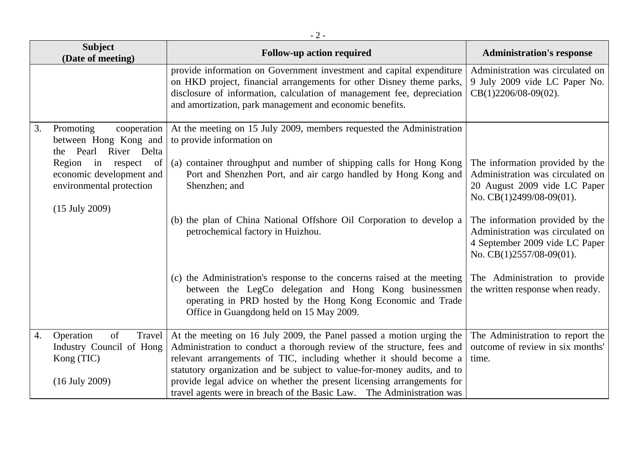|    | <b>Subject</b><br>(Date of meeting)                                                                          | <b>Follow-up action required</b>                                                                                                                                                                                                                                                                                                                                                                                                                   | <b>Administration's response</b>                                                                                                  |
|----|--------------------------------------------------------------------------------------------------------------|----------------------------------------------------------------------------------------------------------------------------------------------------------------------------------------------------------------------------------------------------------------------------------------------------------------------------------------------------------------------------------------------------------------------------------------------------|-----------------------------------------------------------------------------------------------------------------------------------|
|    |                                                                                                              | provide information on Government investment and capital expenditure<br>on HKD project, financial arrangements for other Disney theme parks,<br>disclosure of information, calculation of management fee, depreciation<br>and amortization, park management and economic benefits.                                                                                                                                                                 | Administration was circulated on<br>9 July 2009 vide LC Paper No.<br>$CB(1)2206/08-09(02)$ .                                      |
| 3. | Promoting<br>cooperation<br>between Hong Kong and<br>the Pearl River Delta                                   | At the meeting on 15 July 2009, members requested the Administration<br>to provide information on                                                                                                                                                                                                                                                                                                                                                  |                                                                                                                                   |
|    | Region in respect<br>of<br>economic development and<br>environmental protection<br>$(15 \text{ July } 2009)$ | (a) container throughput and number of shipping calls for Hong Kong<br>Port and Shenzhen Port, and air cargo handled by Hong Kong and<br>Shenzhen; and                                                                                                                                                                                                                                                                                             | The information provided by the<br>Administration was circulated on<br>20 August 2009 vide LC Paper<br>No. CB(1)2499/08-09(01).   |
|    |                                                                                                              | (b) the plan of China National Offshore Oil Corporation to develop a<br>petrochemical factory in Huizhou.                                                                                                                                                                                                                                                                                                                                          | The information provided by the<br>Administration was circulated on<br>4 September 2009 vide LC Paper<br>No. CB(1)2557/08-09(01). |
|    |                                                                                                              | (c) the Administration's response to the concerns raised at the meeting<br>between the LegCo delegation and Hong Kong businessmen<br>operating in PRD hosted by the Hong Kong Economic and Trade<br>Office in Guangdong held on 15 May 2009.                                                                                                                                                                                                       | The Administration to provide<br>the written response when ready.                                                                 |
| 4. | Operation<br>of<br>Travel<br>Industry Council of Hong<br>Kong (TIC)<br>$(16$ July 2009)                      | At the meeting on 16 July 2009, the Panel passed a motion urging the<br>Administration to conduct a thorough review of the structure, fees and<br>relevant arrangements of TIC, including whether it should become a<br>statutory organization and be subject to value-for-money audits, and to<br>provide legal advice on whether the present licensing arrangements for<br>travel agents were in breach of the Basic Law. The Administration was | The Administration to report the<br>outcome of review in six months'<br>time.                                                     |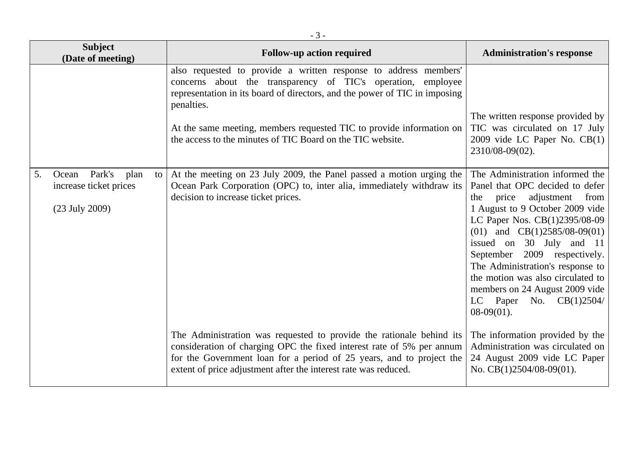| <b>Subject</b><br>(Date of meeting)                                               | <b>Follow-up action required</b>                                                                                                                                                                                                                                                                                                                                   | <b>Administration's response</b>                                                                                                                                                                                                                                                                                                                                                                                                    |
|-----------------------------------------------------------------------------------|--------------------------------------------------------------------------------------------------------------------------------------------------------------------------------------------------------------------------------------------------------------------------------------------------------------------------------------------------------------------|-------------------------------------------------------------------------------------------------------------------------------------------------------------------------------------------------------------------------------------------------------------------------------------------------------------------------------------------------------------------------------------------------------------------------------------|
|                                                                                   | also requested to provide a written response to address members'<br>concerns about the transparency of TIC's operation, employee<br>representation in its board of directors, and the power of TIC in imposing<br>penalties.<br>At the same meeting, members requested TIC to provide information on<br>the access to the minutes of TIC Board on the TIC website. | The written response provided by<br>TIC was circulated on 17 July<br>$2009$ vide LC Paper No. CB $(1)$<br>2310/08-09(02).                                                                                                                                                                                                                                                                                                           |
| Park's<br>plan<br>5.<br>Ocean<br>to<br>increase ticket prices<br>$(23$ July 2009) | At the meeting on 23 July 2009, the Panel passed a motion urging the<br>Ocean Park Corporation (OPC) to, inter alia, immediately withdraw its<br>decision to increase ticket prices.                                                                                                                                                                               | The Administration informed the<br>Panel that OPC decided to defer<br>adjustment<br>from<br>price<br>the<br>1 August to 9 October 2009 vide<br>LC Paper Nos. CB(1)2395/08-09<br>(01) and $CB(1)2585/08-09(01)$<br>issued on 30 July and 11<br>September 2009 respectively.<br>The Administration's response to<br>the motion was also circulated to<br>members on 24 August 2009 vide<br>LC Paper No. $CB(1)2504/$<br>$08-09(01)$ . |
|                                                                                   | The Administration was requested to provide the rationale behind its<br>consideration of charging OPC the fixed interest rate of 5% per annum<br>for the Government loan for a period of 25 years, and to project the<br>extent of price adjustment after the interest rate was reduced.                                                                           | The information provided by the<br>Administration was circulated on<br>24 August 2009 vide LC Paper<br>No. $CB(1)2504/08-09(01)$ .                                                                                                                                                                                                                                                                                                  |